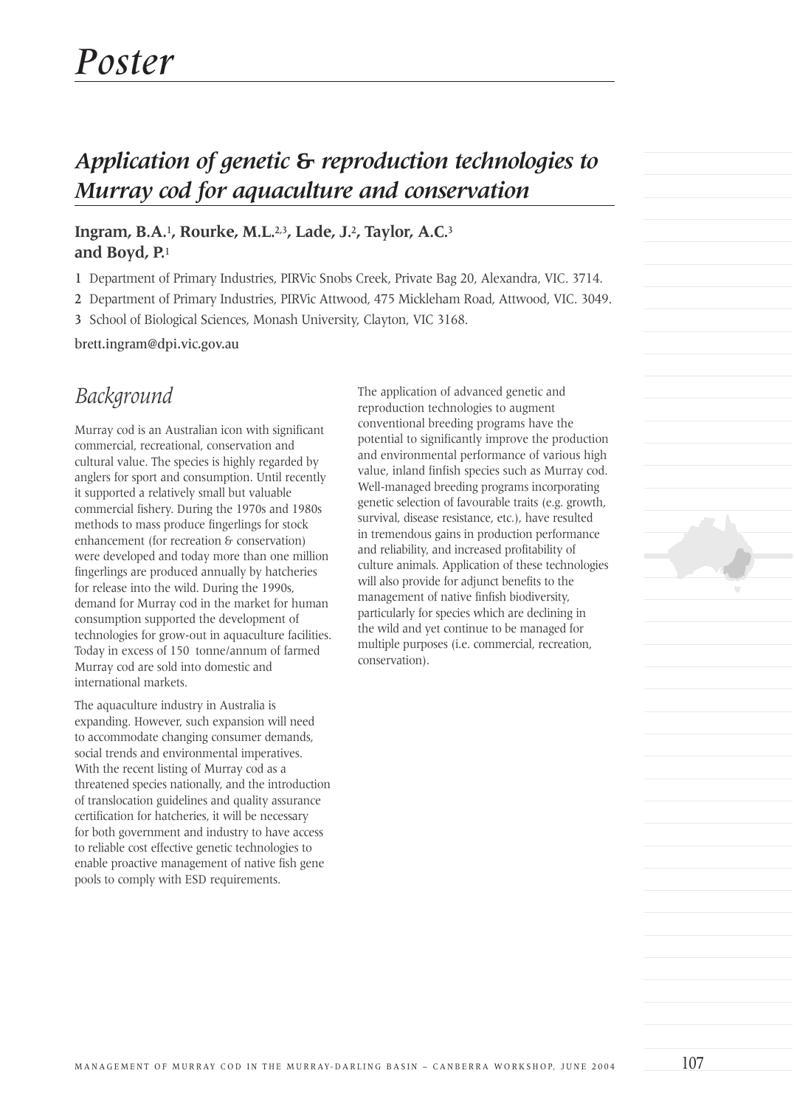# *Application of genetic* **&** *reproduction technologies to Murray cod for aquaculture and conservation*

#### **Ingram, B.A.**1**, Rourke, M.L.**2,3**, Lade, J.**2**, Taylor, A.C.**<sup>3</sup> **and Boyd, P.**<sup>1</sup>

1 Department of Primary Industries, PIRVic Snobs Creek, Private Bag 20, Alexandra, VIC. 3714.

2 Department of Primary Industries, PIRVic Attwood, 475 Mickleham Road, Attwood, VIC. 3049.

3 School of Biological Sciences, Monash University, Clayton, VIC 3168.

brett.ingram@dpi.vic.gov.au

## *Background*

Murray cod is an Australian icon with significant commercial, recreational, conservation and cultural value. The species is highly regarded by anglers for sport and consumption. Until recently it supported a relatively small but valuable commercial fishery. During the 1970s and 1980s methods to mass produce fingerlings for stock enhancement (for recreation & conservation) were developed and today more than one million fingerlings are produced annually by hatcheries for release into the wild. During the 1990s, demand for Murray cod in the market for human consumption supported the development of technologies for grow-out in aquaculture facilities. Today in excess of 150 tonne/annum of farmed Murray cod are sold into domestic and international markets.

The aquaculture industry in Australia is expanding. However, such expansion will need to accommodate changing consumer demands, social trends and environmental imperatives. With the recent listing of Murray cod as a threatened species nationally, and the introduction of translocation guidelines and quality assurance certification for hatcheries, it will be necessary for both government and industry to have access to reliable cost effective genetic technologies to enable proactive management of native fish gene pools to comply with ESD requirements.

The application of advanced genetic and reproduction technologies to augment conventional breeding programs have the potential to significantly improve the production and environmental performance of various high value, inland finfish species such as Murray cod. Well-managed breeding programs incorporating genetic selection of favourable traits (e.g. growth, survival, disease resistance, etc.), have resulted in tremendous gains in production performance and reliability, and increased profitability of culture animals. Application of these technologies will also provide for adjunct benefits to the management of native finfish biodiversity, particularly for species which are declining in the wild and yet continue to be managed for multiple purposes (i.e. commercial, recreation, conservation).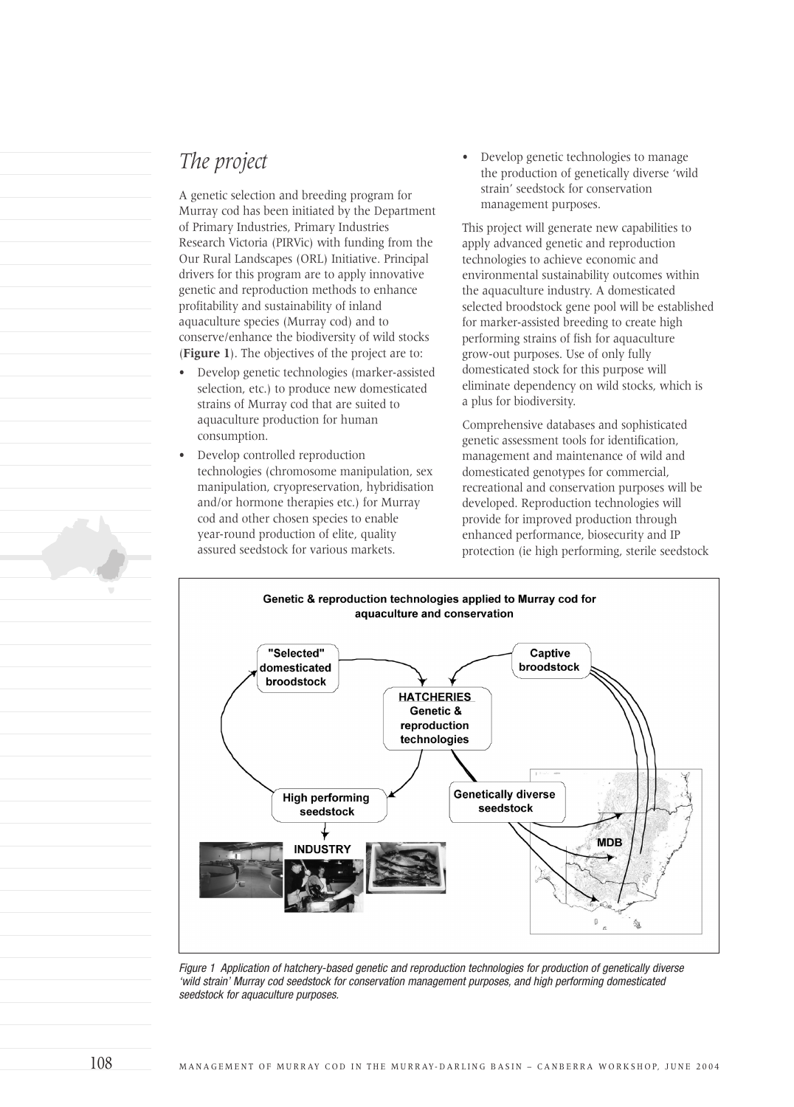### *The project*

A genetic selection and breeding program for Murray cod has been initiated by the Department of Primary Industries, Primary Industries Research Victoria (PIRVic) with funding from the Our Rural Landscapes (ORL) Initiative. Principal drivers for this program are to apply innovative genetic and reproduction methods to enhance profitability and sustainability of inland aquaculture species (Murray cod) and to conserve/enhance the biodiversity of wild stocks (**Figure 1**). The objectives of the project are to:

- Develop genetic technologies (marker-assisted selection, etc.) to produce new domesticated strains of Murray cod that are suited to aquaculture production for human consumption.
- Develop controlled reproduction technologies (chromosome manipulation, sex manipulation, cryopreservation, hybridisation and/or hormone therapies etc.) for Murray cod and other chosen species to enable year-round production of elite, quality assured seedstock for various markets.

• Develop genetic technologies to manage the production of genetically diverse 'wild strain' seedstock for conservation management purposes.

This project will generate new capabilities to apply advanced genetic and reproduction technologies to achieve economic and environmental sustainability outcomes within the aquaculture industry. A domesticated selected broodstock gene pool will be established for marker-assisted breeding to create high performing strains of fish for aquaculture grow-out purposes. Use of only fully domesticated stock for this purpose will eliminate dependency on wild stocks, which is a plus for biodiversity.

Comprehensive databases and sophisticated genetic assessment tools for identification, management and maintenance of wild and domesticated genotypes for commercial, recreational and conservation purposes will be developed. Reproduction technologies will provide for improved production through enhanced performance, biosecurity and IP protection (ie high performing, sterile seedstock



Figure 1 Application of hatchery-based genetic and reproduction technologies for production of genetically diverse 'wild strain' Murray cod seedstock for conservation management purposes, and high performing domesticated seedstock for aquaculture purposes.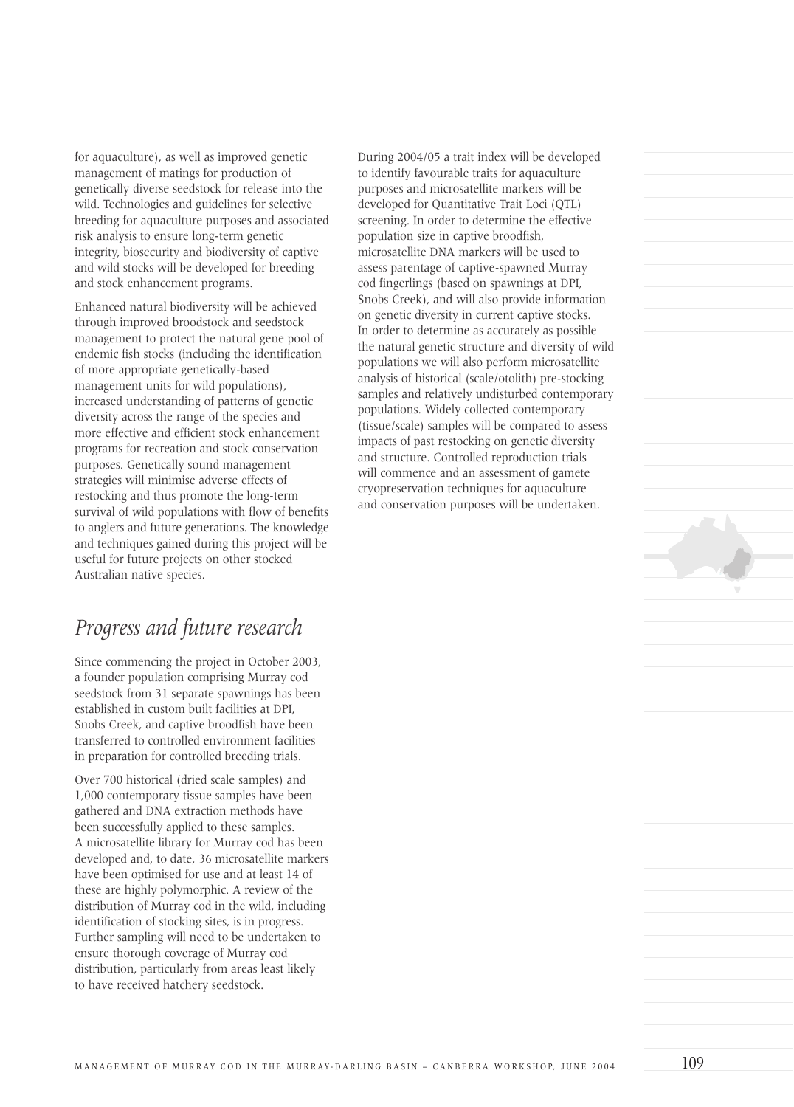for aquaculture), as well as improved genetic management of matings for production of genetically diverse seedstock for release into the wild. Technologies and guidelines for selective breeding for aquaculture purposes and associated risk analysis to ensure long-term genetic integrity, biosecurity and biodiversity of captive and wild stocks will be developed for breeding and stock enhancement programs.

Enhanced natural biodiversity will be achieved through improved broodstock and seedstock management to protect the natural gene pool of endemic fish stocks (including the identification of more appropriate genetically-based management units for wild populations), increased understanding of patterns of genetic diversity across the range of the species and more effective and efficient stock enhancement programs for recreation and stock conservation purposes. Genetically sound management strategies will minimise adverse effects of restocking and thus promote the long-term survival of wild populations with flow of benefits to anglers and future generations. The knowledge and techniques gained during this project will be useful for future projects on other stocked Australian native species.

### *Progress and future research*

Since commencing the project in October 2003, a founder population comprising Murray cod seedstock from 31 separate spawnings has been established in custom built facilities at DPI, Snobs Creek, and captive broodfish have been transferred to controlled environment facilities in preparation for controlled breeding trials.

Over 700 historical (dried scale samples) and 1,000 contemporary tissue samples have been gathered and DNA extraction methods have been successfully applied to these samples. A microsatellite library for Murray cod has been developed and, to date, 36 microsatellite markers have been optimised for use and at least 14 of these are highly polymorphic. A review of the distribution of Murray cod in the wild, including identification of stocking sites, is in progress. Further sampling will need to be undertaken to ensure thorough coverage of Murray cod distribution, particularly from areas least likely to have received hatchery seedstock.

During 2004/05 a trait index will be developed to identify favourable traits for aquaculture purposes and microsatellite markers will be developed for Quantitative Trait Loci (QTL) screening. In order to determine the effective population size in captive broodfish, microsatellite DNA markers will be used to assess parentage of captive-spawned Murray cod fingerlings (based on spawnings at DPI, Snobs Creek), and will also provide information on genetic diversity in current captive stocks. In order to determine as accurately as possible the natural genetic structure and diversity of wild populations we will also perform microsatellite analysis of historical (scale/otolith) pre-stocking samples and relatively undisturbed contemporary populations. Widely collected contemporary (tissue/scale) samples will be compared to assess impacts of past restocking on genetic diversity and structure. Controlled reproduction trials will commence and an assessment of gamete cryopreservation techniques for aquaculture and conservation purposes will be undertaken.